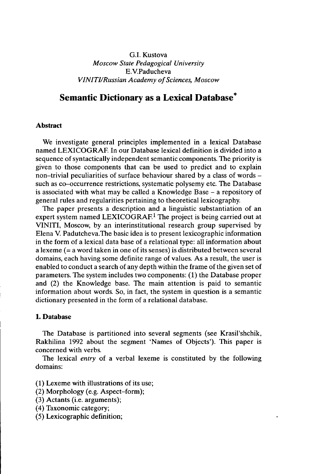# G.I. Kustova *Moscow State Pedagogical University* E.V.Paducheva *VINITI/Russian Academy ofSciences, Moscow*

# Semantic Dictionary as a Lexical Database<sup>\*</sup>

#### **Abstract**

We investigate general principles implemented in a lexical Database named LEXICOGRAF. In our Database lexical definition is divided into a sequence of syntactically independent semantic components. The priority is given to those components that can be used to predict and to explain non-trivial peculiarities of surface behaviour shared by <sup>a</sup> class of words such as co-occurrence restrictions, systematic polysemy etc. The Database is associated with what may be called <sup>a</sup> Knowledge Base - <sup>a</sup> repository of general rules and regularities pertaining to theoretical lexicography.

The paper presents a description and a linguistic substantiation of an expert system named LEXICOGRAF.<sup>1</sup> The project is being carried out at VINITI, Moscow, by an interinstitutional research group supervised by Elena V. Padutcheva.The basic idea is to present lexicographic information in the form of a lexical data base of a relational type: all information about a lexeme (= a word taken in one of its senses) is distributed between several domains, each having some definite range of values. As a result, the user is enabled to conduct a search of any depth within the frame of the given set of parameters. The system includes two components: (1) the Database proper and (2) the Knowledge base. The main attention is paid to semantic information about words. So, in fact, the system in question is a semantic dictionary presented in the form of a relational database.

## **1. Database**

The Database is partitioned into several segments (see Krasil'shchik, Rakhilina 1992 about the segment 'Names of Objects'). This paper is concerned with verbs.

The lexical *entry* of a verbal lexeme is constituted by the following domains:

(1) Lexeme with illustrations of its use;

- (2) Morphology (e.g. Aspect-form);
- (3) Actants (i.e. arguments);
- (4) Taxonomic category;
- (5) Lexicographic definition;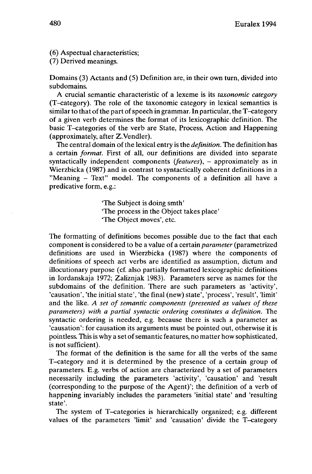(6) Aspectual characteristics;

(7) Derived meanings.

Domains (3) Actants and (5) Definition are, in their own turn, divided into subdomains.

A crucial semantic characteristic of a lexeme is its *taxonomic category* (T-category). The role of the taxonomic category in lexical semantics is similar to that of the part of speech in grammar. In particular, the T-category of a given verb determines the format of its lexicographic definition. The basic T-categories of the verb are State, Process, Action and Happening (approximately, after Z.Vendler).

The central domain of the lexical entry is the *definition.* The definition has a certain *format.* First of all, our definitions are divided into separate syntactically independent components *(features)*, - approximately as in Wierzbicka (1987) and in contrast to syntactically coherent definitions in a "Meaning - Text" model. The components of <sup>a</sup> definition all have <sup>a</sup> predicative form, e.g.:

> "The Subject is doing smth' 'The process in the Object takes place' 'The Object moves', etc.

The formatting of definitions becomes possible due to the fact that each component is considered to be a value of a certain *parameter* (parametrized definitions are used in Wierzbicka (1987) where the components of definitions of speech act verbs are identified as assumption, dictum and illocutionary purpose (cf. also partially formatted lexicographic definitions in Iordanskaja 1972; Zaliznjak 1983). Parameters serve as names for the subdomains of the definition. There are such parameters as 'activity', 'causation', 'the initial state', 'the final (new) state', 'process', 'result', 'limit' and the like. *A set of semantic components (presented as values of these parameters) with a partial syntactic ordering constitutes a definition.* The syntactic ordering is needed, e.g. because there is such a parameter as 'causation': for causation its arguments must be pointed out, otherwise it is pointless. This is why a set of semantic features, no matter how sophisticated, is not sufficient).

The format of the definition is the same for all the verbs of the same T-category and it is determined by the presence of a certain group of parameters. E.g. verbs of action are characterized by a set of parameters necessarily including the parameters 'activity', 'causation' and 'result (corresponding to the purpose of the Agent)'; the definition of a verb of happening invariably includes the parameters 'initial state' and 'resulting state'.

The system of T-categories is hierarchically organized; e.g. different values of the parameters 'limit' and 'causation' divide the T-category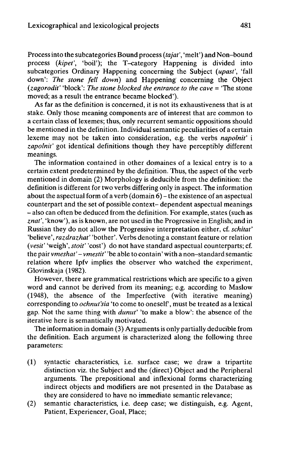Processinto the subcategories Bound process *(tajat',* 'melt') and Non-bound process *(kipet',* 'boil'); the T-category Happening is divided into subcategories Ordinary Happening concerning the Subject *(upast',* 'fall down': *The stone fell down)* and Happening concerning the Object *(zagorodit'* 'block': *The stone blocked the entrance to the cave <sup>=</sup>* 'The stone moved; as a result the entrance became blocked').

As far as the definition is concerned, it is not its exhaustiveness that is at stake. Only those meaning components are of interest that are common to a certain class of lexemes; thus, only recurrent semantic oppositions should be mentioned in the definition. Individual semantic peculiarities of a certain lexeme may not be taken into consideration, e.g. the verbs *napolnit'* i *zapolnit'* got identical definitions though they have perceptibly different meanings.

The information contained in other domaines of a lexical entry is to a certain extent predetermined by the definition. Thus, the aspect of the verb mentioned in domain (2) Morphology is deducible from the definition: the definition is different for two verbs differing only in aspect. The information about the aspectual form of a verb (domain 6) – the existence of an aspectual counterpart and the set of possible context- dependent aspectual meanings - also can often be deduced from the definition. For example, states (such as *znat',* 'know'), as is known, are not used in the Progressive in English; and in Russian they do not allow the Progressive interpretation either, cf. *schitat'* 'believe', *razdrazhat'* 'bother'. Verbs denoting a constant feature or relation *(vesit'* 'weigh', *stoit'* 'cost') do not have standard aspectual counterparts; cf. the pair *vmeshat'- vmestit'* 'be able to contain' with a non-standard semantic relation where Ipfv implies the observer who watched the experiment, Glovinskaja (1982).

However, there are grammatical restrictions which are specific to a given word and cannot be derived from its meaning; e.g. according to Maslow (1948), the absence of the Imperfective (with iterative meaning) corresponding to *ochnut'sia* 'to come to oneself', must be treated as a lexical gap. Not the same thing with *dunut'* 'to make a blow': the absence of the iterative here is semantically motivated.

The information in domain (3) Arguments is only partially deducible from the definition. Each argument is characterized along the following three parameters:

- (1) syntactic characteristics, i.e. surface case; we draw a tripartite distinction viz. the Subject and the (direct) Object and the Peripheral arguments. The prepositional and inflexional forms characterizing indirect objects and modifiers are not presented in the Database as they are considered to have no immediate semantic relevance;
- (2) semantic characteristics, i.e. deep case; we distinguish, e.g. Agent, Patient, Experiencer, Goal, Place;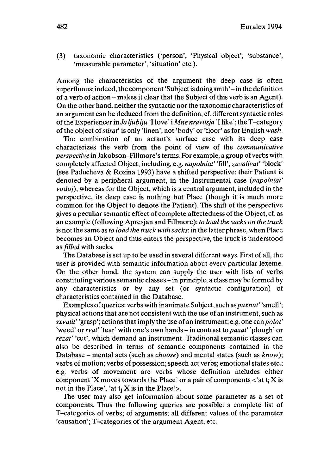(3) taxonomic characteristics ('person', 'Physical object', 'substance', 'measurable parameter', 'situation' etc.).

Among the characteristics of the argument the deep case is often superfluous; indeed, the component 'Subject is doing smth' - in the definition of <sup>a</sup> verb of action - makes it clear that the Subject ofthis verb is an Agent). On the other hand, neither the syntactic nor the taxonomic characteristics of an argument can be deduced from the definition, cf. different syntactic roles ofthe Experiencer in *Ja ljublju* 'I love' i *Mne nravitsja* 'I like';the T-category ofthe object of*stiraf* is only 'linen', not 'body' or 'floor' as for English *wash.*

The combination of an actant's surface case with its deep case characterizes the verb from the point of view of the *communicative perspective* in Jakobson-Fillmore's terms. For example, a group of verbs with completely affected Object, including, e.g. *napolniat'* 'fill', *zavalivat'* 'block' (see Paducheva & Rozina 1993) have a shifted perspective: their Patient is denoted by a peripheral argument, in the Instrumental case *(napolniat' vodoj),* whereas for the Object, which is a central argument, included in the perspective, its deep case is nothing but Place (though it is much more common for the Object to denote the Patient). The shift of the perspective gives a peculiar semantic effect of complete affectedness ofthe Object, cf. as an example (following Apresjan and Fillmore): *to load the sacks on the truck* is notthe same as *to load the truck with sacks:* in the latter phrase, when Place becomes an Object and thus enters the perspective, the truck is understood as*filled* with sacks.

The Database is set up to be used in several different ways. First of all, the user is provided with semantic information about every particular lexeme. On the other hand, the system can supply the user with lists of verbs constituting various semantic classes -in principle, <sup>a</sup> class may be formed by any characteristics or by any set (or syntactic configuration) of characteristics contained in the Database.

Examples of queries: verbs with inanimate Subject, such as *paxnut'* 'smell'; physical actions that are not consistent with the use of an instrument, such as *sxvatit'* 'grasp'; actionsthatimply the use of an instrument; e.g. one can*polot'* 'weed' or *rvat'* 'tear' with one's own hands -in contrast to *paxat'* 'plough' or *rezat'* 'cut', which demand an instrument. Traditional semantic classes can also be described in terms of semantic components contained in the Database - mental acts (such as *choose)* and mental states (such as *know);* verbs of motion; verbs of possession; speech act verbs; emotional states etc.; e.g. verbs of movement are verbs whose definition includes either component 'X moves towards the Place' or a pair of components  $\langle$ 'at t<sub>i</sub> X is not in the Place', 'at  $t_i$  X is in the Place'>.

The user may also get information about some parameter as a set of components. Thus the following queries are possible: a complete list of T-categories of verbs; of arguments; all different values of the parameter 'causation'; T-categories of the argument Agent, etc.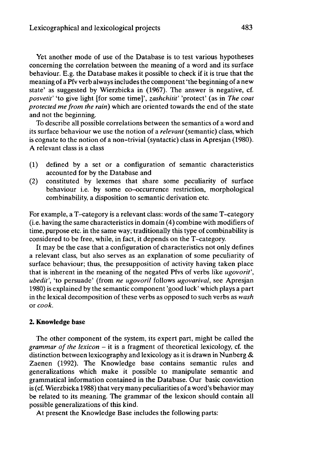Yet another mode of use of the Database is to test various hypotheses concerning the correlation between the meaning of a word and its surface behaviour. E.g. the Database makes it possible to check if it is true that the meaning of a Pfv verb alwaysincludesthe component'the beginning of a new state' as suggested by Wierzbicka in (1967). The answer is negative, cf. *posvetit'* 'to give light [for some time]', *zashchitit'* 'protect' (as in *The coat protected me from the rain)* which are oriented towards the end of the state and not the beginning.

To describe all possible correlations between the semantics of a word and its surface behaviour we use the notion of a *relevant* (semantic) class, which is cognate to the notion of a non-trivial (syntactic) class in Apresjan (1980). A relevant class is a class

- (1) defined by a set or a configuration of semantic characteristics accounted for by the Database and
- (2) constituted by lexemes that share some peculiarity of surface behaviour i.e. by some co-occurrence restriction, morphological combinability, a disposition to semantic derivation etc.

For example, a T-category is a relevant class: words of the same T-category (i.e. having the same characteristics in domain (4) combine with modifiers of time, purpose etc. in the same way; traditionally this type of combinability is considered to be free, while, in fact, it depends on the T-category.

It may be the case that a configuration of characteristics not only defines a relevant class, but also serves as an explanation of some peculiarity of surface behaviour; thus, the presupposition of activity having taken place that is inherent in the meaning of the negated Pfvs of verbs like *ugovorit', ubedit',* 'to persuade' (from *ne ugovoril* follows *ugovarival,* see Apresjan 1980) is explained by the semantic component 'good luck' which plays a part in the lexical decomposition of these verbs as opposed to such verbs as *wash* or *cook.*

#### **2. Knowledge base**

The other component of the system, its expert part, might be called the *grammar of the lexicon* – it is a fragment of theoretical lexicology, cf. the distinction between lexicography and lexicology as it is drawn in Nunberg  $\&$ Zaenen (1992). The Knowledge base contains semantic rules and generalizations which make it possible to manipulate semantic and grammatical information contained in the Database. Our basic conviction is (cf. Wierzbicka 1988) that very many peculiarities of a word's behavior may be related to its meaning. The grammar of the lexicon should contain all possible generalizations of this kind.

At present the Knowledge Base includes the following parts: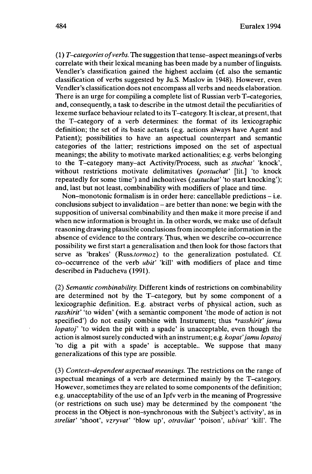(1) *T-categories ofverbs.* The suggestion thattense-aspect meanings ofverbs correlate with their lexical meaning has been made by a number of linguists. Vendler's classification gained the highest acclaim (cf. also the semantic classification of verbs suggested by Ju.S. Maslov in 1948). However, even Vendler's classification does not encompass all verbs and needs elaboration. There is an urge for compiling a complete list of Russian verb T-categories, and, consequently, a task to describe in the utmost detail the peculiarities of lexeme surface behaviour related to its T-category. It is clear, at present, that the T-category of a verb determines: the format of its lexicographic definition; the set of its basic actants (e.g. actions always have Agent and Patient); possibilities to have an aspectual counterpart and semantic categories of the latter; restrictions imposed on the set of aspectual meanings; the ability to motivate marked actionalities; e.g. verbs belonging to the T-category many-act Activity/Process, such as *stuchat'* 'knock', without restrictions motivate delimitatives *(postuchat'* [lit.] 'to knock repeatedly for some time') and inchoatives *(zastuchaf* 'to start knocking'); and, last but not least, combinability with modifiers of place and time.

Non-monotonic formalism is in order here: cancellable predictions - i.e. conclusions subject to invalidation – are better than none: we begin with the supposition of universal combinability and then make it more precise if and when new information is brought in. In other words, we make use of default reasoning drawing plausible conclusionsfrom incomplete information in the absence of evidence to the contrary. Thus, when we describe co-occurrence possibility we first start a generalisation and then look for those factors that serve as 'brakes' *(Russ.tormoz)* to the generalization postulated. Cf. co-occurrence of the verb *ubit'* 'kill' with modifiers of place and time described in Paducheva (1991).

(2) *Semantic combinability.* Different kinds of restrictions on combinability are determined not by the T-category, but by some component of a lexicographic definition. E.g. abstract verbs of physical action, such as *rasshirit'* 'to widen' (with a semantic component 'the mode of action is not specified') do not easily combine with Instrument; thus *\*rasshirit' jamu lopatoj'* 'to widen the pit with a spade' is unacceptable, even though the action is almostsurely conducted with an instrument; e.g. *kopat'jamu lopatoj* 'to dig a pit with a spade' is acceptable.. We suppose that many generalizations of this type are possible.

(3) *Context-dependent aspectual meanings.* The restrictions on the range of aspectual meanings of a verb are determined mainly by the T-category. However, sometimes they are related to some components of the definition; e.g. unacceptability of the use of an Ipfv verb in the meaning of Progressive (or restrictions on such use) may be determined by the component 'the process in the Object is non-synchronous with the Subject's activity', as in *streliat'* 'shoot', *vzryvat'* 'blow up', *otravliat'* 'poison', *ubivat'* 'kill'. The